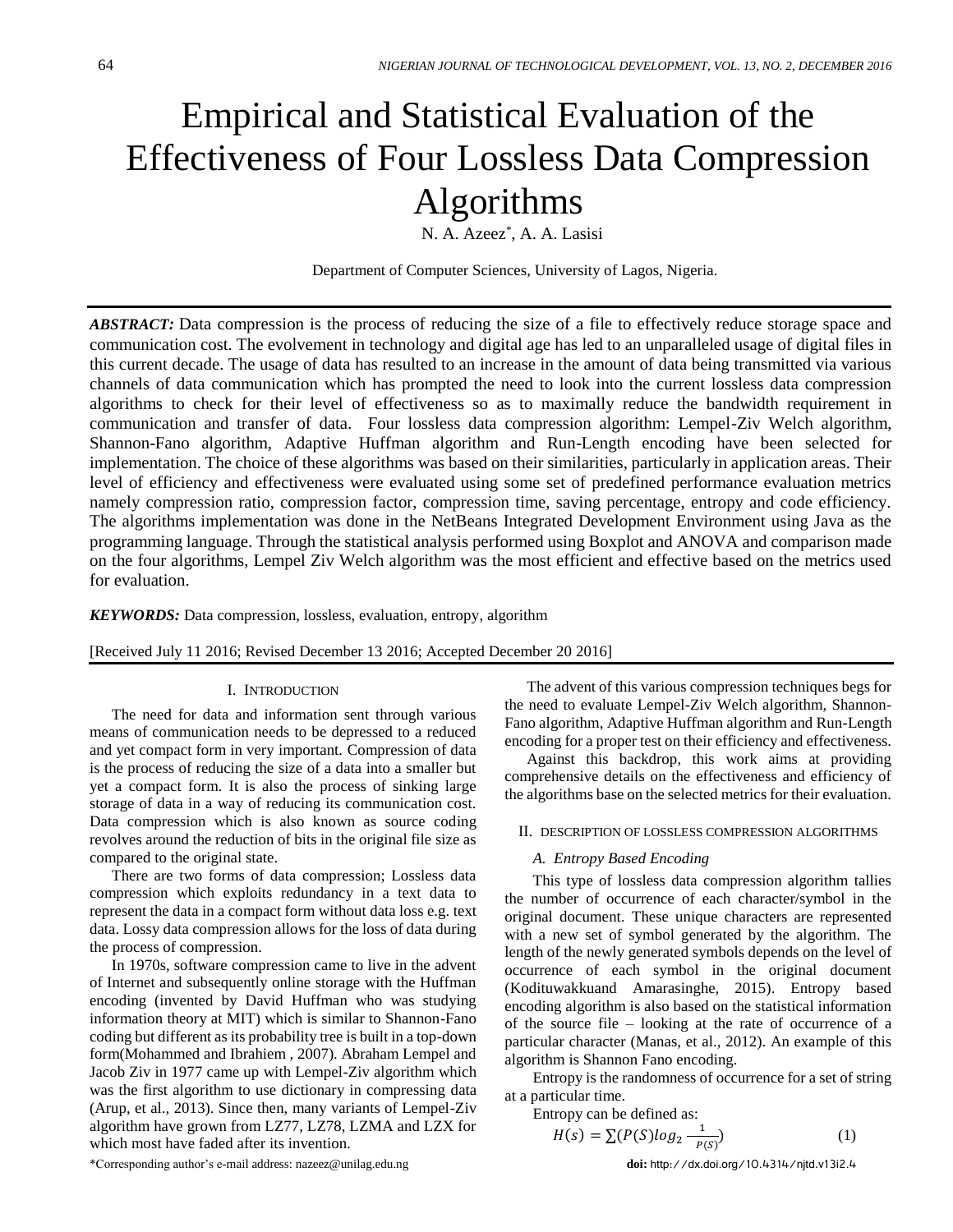# Empirical and Statistical Evaluation of the Effectiveness of Four Lossless Data Compression Algorithms

N. A. Azeez\* , A. A. Lasisi

Department of Computer Sciences, University of Lagos, Nigeria.

*ABSTRACT:* Data compression is the process of reducing the size of a file to effectively reduce storage space and communication cost. The evolvement in technology and digital age has led to an unparalleled usage of digital files in this current decade. The usage of data has resulted to an increase in the amount of data being transmitted via various channels of data communication which has prompted the need to look into the current lossless data compression algorithms to check for their level of effectiveness so as to maximally reduce the bandwidth requirement in communication and transfer of data. Four lossless data compression algorithm: Lempel-Ziv Welch algorithm, Shannon-Fano algorithm, Adaptive Huffman algorithm and Run-Length encoding have been selected for implementation. The choice of these algorithms was based on their similarities, particularly in application areas. Their level of efficiency and effectiveness were evaluated using some set of predefined performance evaluation metrics namely compression ratio, compression factor, compression time, saving percentage, entropy and code efficiency. The algorithms implementation was done in the NetBeans Integrated Development Environment using Java as the programming language. Through the statistical analysis performed using Boxplot and ANOVA and comparison made on the four algorithms, Lempel Ziv Welch algorithm was the most efficient and effective based on the metrics used for evaluation.

*KEYWORDS:* Data compression, lossless, evaluation, entropy, algorithm

[Received July 11 2016; Revised December 13 2016; Accepted December 20 2016]

## I. INTRODUCTION

The need for data and information sent through various means of communication needs to be depressed to a reduced and yet compact form in very important. Compression of data is the process of reducing the size of a data into a smaller but yet a compact form. It is also the process of sinking large storage of data in a way of reducing its communication cost. Data compression which is also known as source coding revolves around the reduction of bits in the original file size as compared to the original state.

There are two forms of data compression; Lossless data compression which exploits redundancy in a text data to represent the data in a compact form without data loss e.g. text data. Lossy data compression allows for the loss of data during the process of compression.

In 1970s, software compression came to live in the advent of Internet and subsequently online storage with the Huffman encoding (invented by David Huffman who was studying information theory at MIT) which is similar to Shannon-Fano coding but different as its probability tree is built in a top-down form(Mohammed and Ibrahiem , 2007). Abraham Lempel and Jacob Ziv in 1977 came up with Lempel-Ziv algorithm which was the first algorithm to use dictionary in compressing data (Arup, et al., 2013). Since then, many variants of Lempel-Ziv algorithm have grown from LZ77, LZ78, LZMA and LZX for which most have faded after its invention.

The advent of this various compression techniques begs for the need to evaluate Lempel-Ziv Welch algorithm, Shannon-Fano algorithm, Adaptive Huffman algorithm and Run-Length encoding for a proper test on their efficiency and effectiveness.

Against this backdrop, this work aims at providing comprehensive details on the effectiveness and efficiency of the algorithms base on the selected metrics for their evaluation.

# II. DESCRIPTION OF LOSSLESS COMPRESSION ALGORITHMS

#### *A. Entropy Based Encoding*

This type of lossless data compression algorithm tallies the number of occurrence of each character/symbol in the original document. These unique characters are represented with a new set of symbol generated by the algorithm. The length of the newly generated symbols depends on the level of occurrence of each symbol in the original document (Kodituwakkuand Amarasinghe, 2015). Entropy based encoding algorithm is also based on the statistical information of the source file – looking at the rate of occurrence of a particular character (Manas, et al., 2012). An example of this algorithm is Shannon Fano encoding.

Entropy is the randomness of occurrence for a set of string at a particular time.

Entropy can be defined as:

$$
H(s) = \sum (P(S) \log_2 \frac{1}{P(S)})
$$
 (1)

\*Corresponding author's e-mail address: nazeez@unilag.edu.ng **doi:** http://dx.doi.org/10.4314/njtd.v13i2.4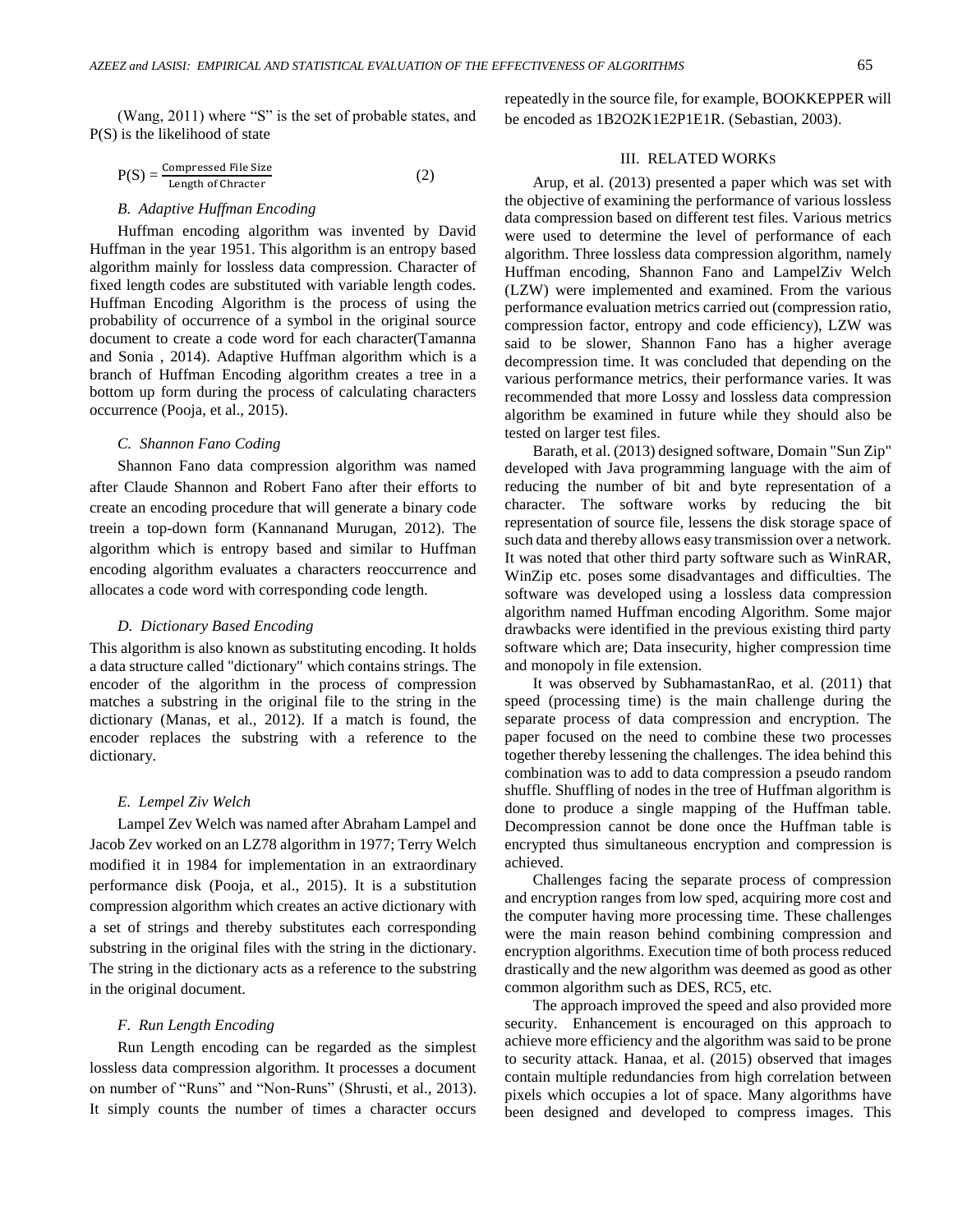(Wang, 2011) where "S" is the set of probable states, and P(S) is the likelihood of state

$$
P(S) = \frac{\text{Compressed File Size}}{\text{Length of Character}} \tag{2}
$$

#### *B. Adaptive Huffman Encoding*

Huffman encoding algorithm was invented by David Huffman in the year 1951. This algorithm is an entropy based algorithm mainly for lossless data compression. Character of fixed length codes are substituted with variable length codes. Huffman Encoding Algorithm is the process of using the probability of occurrence of a symbol in the original source document to create a code word for each character(Tamanna and Sonia , 2014). Adaptive Huffman algorithm which is a branch of Huffman Encoding algorithm creates a tree in a bottom up form during the process of calculating characters occurrence (Pooja, et al., 2015).

### *C. Shannon Fano Coding*

Shannon Fano data compression algorithm was named after Claude Shannon and Robert Fano after their efforts to create an encoding procedure that will generate a binary code treein a top-down form (Kannanand Murugan, 2012). The algorithm which is entropy based and similar to Huffman encoding algorithm evaluates a characters reoccurrence and allocates a code word with corresponding code length.

#### *D. Dictionary Based Encoding*

This algorithm is also known as substituting encoding. It holds a data structure called "dictionary" which contains strings. The encoder of the algorithm in the process of compression matches a substring in the original file to the string in the dictionary (Manas, et al., 2012). If a match is found, the encoder replaces the substring with a reference to the dictionary.

## *E. Lempel Ziv Welch*

Lampel Zev Welch was named after Abraham Lampel and Jacob Zev worked on an LZ78 algorithm in 1977; Terry Welch modified it in 1984 for implementation in an extraordinary performance disk (Pooja, et al., 2015). It is a substitution compression algorithm which creates an active dictionary with a set of strings and thereby substitutes each corresponding substring in the original files with the string in the dictionary. The string in the dictionary acts as a reference to the substring in the original document.

# *F. Run Length Encoding*

Run Length encoding can be regarded as the simplest lossless data compression algorithm. It processes a document on number of "Runs" and "Non-Runs" (Shrusti, et al., 2013). It simply counts the number of times a character occurs repeatedly in the source file, for example, BOOKKEPPER will be encoded as 1B2O2K1E2P1E1R. (Sebastian, 2003).

# III. RELATED WORKS

Arup, et al. (2013) presented a paper which was set with the objective of examining the performance of various lossless data compression based on different test files. Various metrics were used to determine the level of performance of each algorithm. Three lossless data compression algorithm, namely Huffman encoding, Shannon Fano and LampelZiv Welch (LZW) were implemented and examined. From the various performance evaluation metrics carried out (compression ratio, compression factor, entropy and code efficiency), LZW was said to be slower, Shannon Fano has a higher average decompression time. It was concluded that depending on the various performance metrics, their performance varies. It was recommended that more Lossy and lossless data compression algorithm be examined in future while they should also be tested on larger test files.

Barath, et al. (2013) designed software, Domain "Sun Zip" developed with Java programming language with the aim of reducing the number of bit and byte representation of a character. The software works by reducing the bit representation of source file, lessens the disk storage space of such data and thereby allows easy transmission over a network. It was noted that other third party software such as WinRAR, WinZip etc. poses some disadvantages and difficulties. The software was developed using a lossless data compression algorithm named Huffman encoding Algorithm. Some major drawbacks were identified in the previous existing third party software which are; Data insecurity, higher compression time and monopoly in file extension.

It was observed by SubhamastanRao, et al. (2011) that speed (processing time) is the main challenge during the separate process of data compression and encryption. The paper focused on the need to combine these two processes together thereby lessening the challenges. The idea behind this combination was to add to data compression a pseudo random shuffle. Shuffling of nodes in the tree of Huffman algorithm is done to produce a single mapping of the Huffman table. Decompression cannot be done once the Huffman table is encrypted thus simultaneous encryption and compression is achieved.

Challenges facing the separate process of compression and encryption ranges from low sped, acquiring more cost and the computer having more processing time. These challenges were the main reason behind combining compression and encryption algorithms. Execution time of both process reduced drastically and the new algorithm was deemed as good as other common algorithm such as DES, RC5, etc.

The approach improved the speed and also provided more security. Enhancement is encouraged on this approach to achieve more efficiency and the algorithm was said to be prone to security attack. Hanaa, et al. (2015) observed that images contain multiple redundancies from high correlation between pixels which occupies a lot of space. Many algorithms have been designed and developed to compress images. This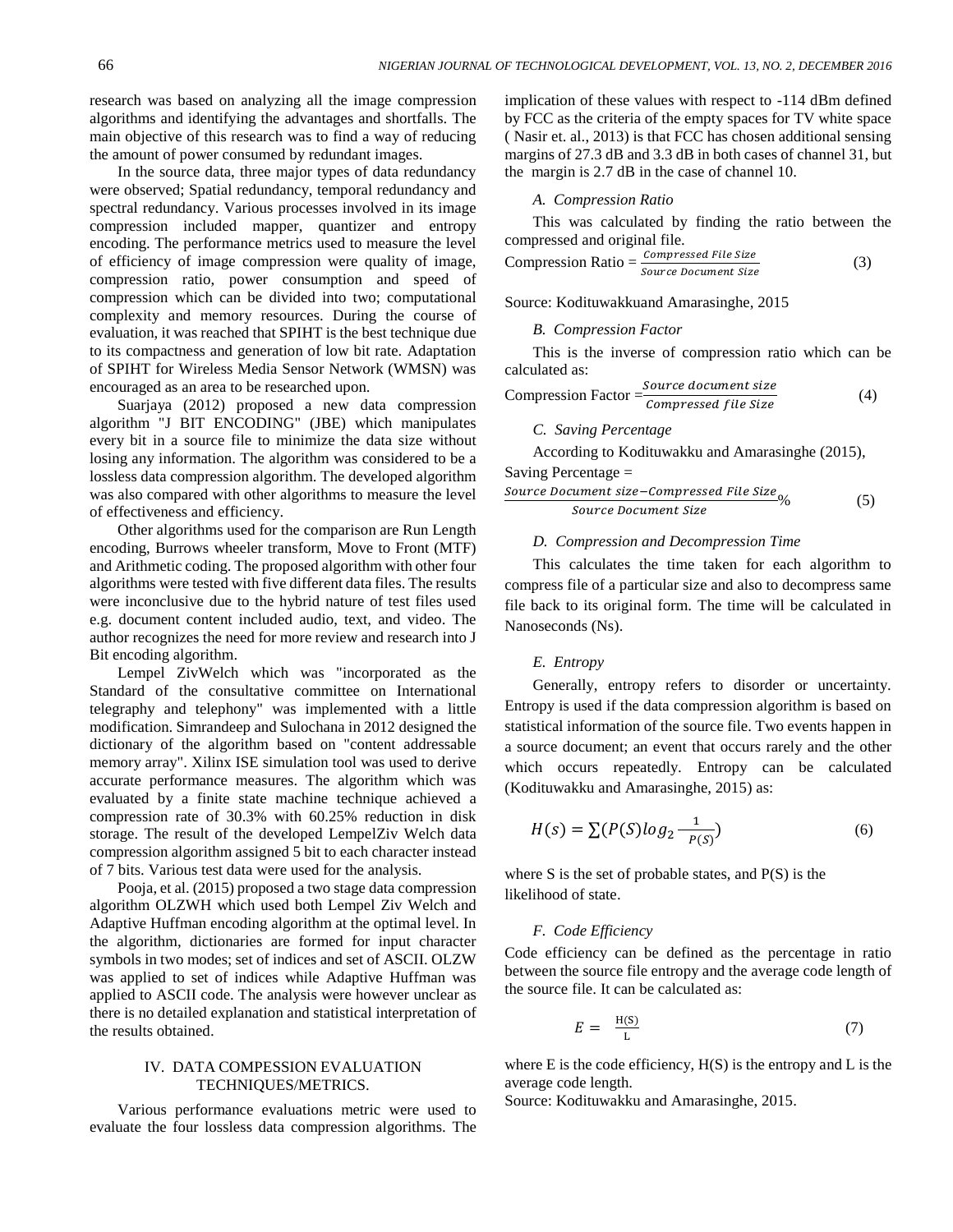research was based on analyzing all the image compression algorithms and identifying the advantages and shortfalls. The main objective of this research was to find a way of reducing the amount of power consumed by redundant images.

In the source data, three major types of data redundancy were observed; Spatial redundancy, temporal redundancy and spectral redundancy. Various processes involved in its image compression included mapper, quantizer and entropy encoding. The performance metrics used to measure the level of efficiency of image compression were quality of image, compression ratio, power consumption and speed of compression which can be divided into two; computational complexity and memory resources. During the course of evaluation, it was reached that SPIHT is the best technique due to its compactness and generation of low bit rate. Adaptation of SPIHT for Wireless Media Sensor Network (WMSN) was encouraged as an area to be researched upon.

Suarjaya (2012) proposed a new data compression algorithm "J BIT ENCODING" (JBE) which manipulates every bit in a source file to minimize the data size without losing any information. The algorithm was considered to be a lossless data compression algorithm. The developed algorithm was also compared with other algorithms to measure the level of effectiveness and efficiency.

Other algorithms used for the comparison are Run Length encoding, Burrows wheeler transform, Move to Front (MTF) and Arithmetic coding. The proposed algorithm with other four algorithms were tested with five different data files. The results were inconclusive due to the hybrid nature of test files used e.g. document content included audio, text, and video. The author recognizes the need for more review and research into J Bit encoding algorithm.

Lempel ZivWelch which was "incorporated as the Standard of the consultative committee on International telegraphy and telephony" was implemented with a little modification. Simrandeep and Sulochana in 2012 designed the dictionary of the algorithm based on "content addressable memory array". Xilinx ISE simulation tool was used to derive accurate performance measures. The algorithm which was evaluated by a finite state machine technique achieved a compression rate of 30.3% with 60.25% reduction in disk storage. The result of the developed LempelZiv Welch data compression algorithm assigned 5 bit to each character instead of 7 bits. Various test data were used for the analysis.

Pooja, et al. (2015) proposed a two stage data compression algorithm OLZWH which used both Lempel Ziv Welch and Adaptive Huffman encoding algorithm at the optimal level. In the algorithm, dictionaries are formed for input character symbols in two modes; set of indices and set of ASCII. OLZW was applied to set of indices while Adaptive Huffman was applied to ASCII code. The analysis were however unclear as there is no detailed explanation and statistical interpretation of the results obtained.

# IV. DATA COMPESSION EVALUATION TECHNIQUES/METRICS.

Various performance evaluations metric were used to evaluate the four lossless data compression algorithms. The implication of these values with respect to -114 dBm defined by FCC as the criteria of the empty spaces for TV white space ( Nasir et. al., 2013) is that FCC has chosen additional sensing margins of 27.3 dB and 3.3 dB in both cases of channel 31, but the margin is 2.7 dB in the case of channel 10.

#### *A. Compression Ratio*

This was calculated by finding the ratio between the compressed and original file.

**Compression Ratio** = 
$$
\frac{Compressed File Size}{Source Document Size}
$$
 (3)

Source: Kodituwakkuand Amarasinghe, 2015

*B. Compression Factor*

This is the inverse of compression ratio which can be calculated as:

Compression Factor =
$$
\frac{Source\ document\ size}{Compressed\ file\ Size}
$$
 (4)

#### *C. Saving Percentage*

According to Kodituwakku and Amarasinghe (2015),

Saving Percentage = − % (5)

# *D. Compression and Decompression Time*

This calculates the time taken for each algorithm to compress file of a particular size and also to decompress same file back to its original form. The time will be calculated in Nanoseconds (Ns).

#### *E. Entropy*

Generally, entropy refers to disorder or uncertainty. Entropy is used if the data compression algorithm is based on statistical information of the source file. Two events happen in a source document; an event that occurs rarely and the other which occurs repeatedly. Entropy can be calculated (Kodituwakku and Amarasinghe, 2015) as:

$$
H(s) = \sum (P(S) \log_2 \frac{1}{P(S)})
$$
 (6)

where  $S$  is the set of probable states, and  $P(S)$  is the likelihood of state.

#### *F. Code Efficiency*

Code efficiency can be defined as the percentage in ratio between the source file entropy and the average code length of the source file. It can be calculated as:

$$
E = \frac{H(S)}{L} \tag{7}
$$

where  $E$  is the code efficiency,  $H(S)$  is the entropy and  $L$  is the average code length.

Source: Kodituwakku and Amarasinghe, 2015.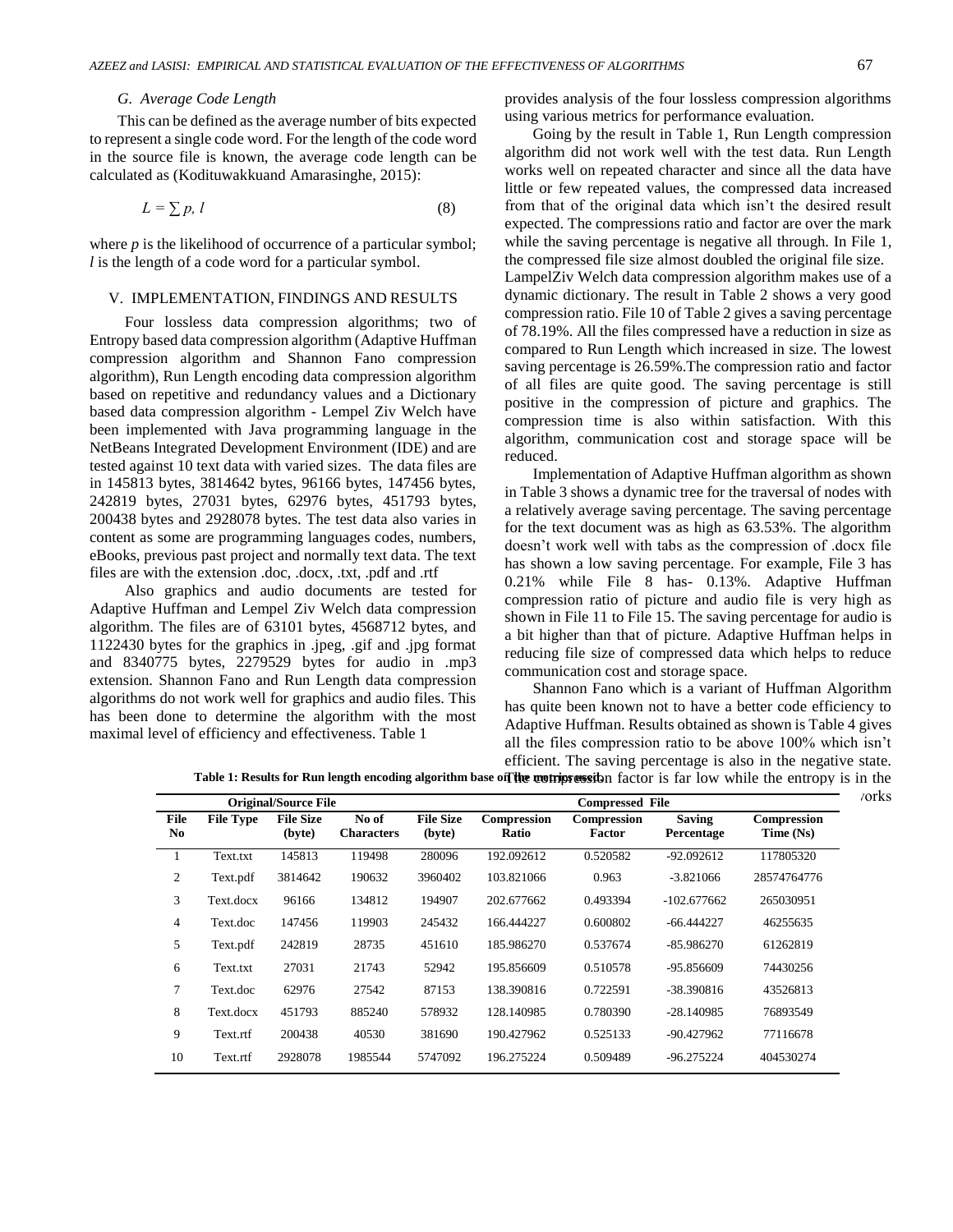#### *G. Average Code Length*

This can be defined as the average number of bits expected to represent a single code word. For the length of the code word in the source file is known, the average code length can be calculated as (Kodituwakkuand Amarasinghe, 2015):

$$
L = \sum p, \ l \tag{8}
$$

where *p* is the likelihood of occurrence of a particular symbol; *l* is the length of a code word for a particular symbol.

#### V. IMPLEMENTATION, FINDINGS AND RESULTS

Four lossless data compression algorithms; two of Entropy based data compression algorithm (Adaptive Huffman compression algorithm and Shannon Fano compression algorithm), Run Length encoding data compression algorithm based on repetitive and redundancy values and a Dictionary based data compression algorithm - Lempel Ziv Welch have been implemented with Java programming language in the NetBeans Integrated Development Environment (IDE) and are tested against 10 text data with varied sizes. The data files are in 145813 bytes, 3814642 bytes, 96166 bytes, 147456 bytes, 242819 bytes, 27031 bytes, 62976 bytes, 451793 bytes, 200438 bytes and 2928078 bytes. The test data also varies in content as some are programming languages codes, numbers, eBooks, previous past project and normally text data. The text files are with the extension .doc, .docx, .txt, .pdf and .rtf

Also graphics and audio documents are tested for Adaptive Huffman and Lempel Ziv Welch data compression algorithm. The files are of 63101 bytes, 4568712 bytes, and 1122430 bytes for the graphics in .jpeg, .gif and .jpg format and 8340775 bytes, 2279529 bytes for audio in .mp3 extension. Shannon Fano and Run Length data compression algorithms do not work well for graphics and audio files. This has been done to determine the algorithm with the most maximal level of efficiency and effectiveness. Table 1

provides analysis of the four lossless compression algorithms using various metrics for performance evaluation.

Going by the result in Table 1, Run Length compression algorithm did not work well with the test data. Run Length works well on repeated character and since all the data have little or few repeated values, the compressed data increased from that of the original data which isn't the desired result expected. The compressions ratio and factor are over the mark while the saving percentage is negative all through. In File 1, the compressed file size almost doubled the original file size. LampelZiv Welch data compression algorithm makes use of a dynamic dictionary. The result in Table 2 shows a very good compression ratio. File 10 of Table 2 gives a saving percentage of 78.19%. All the files compressed have a reduction in size as compared to Run Length which increased in size. The lowest saving percentage is 26.59%.The compression ratio and factor of all files are quite good. The saving percentage is still positive in the compression of picture and graphics. The compression time is also within satisfaction. With this algorithm, communication cost and storage space will be reduced.

Implementation of Adaptive Huffman algorithm as shown in Table 3 shows a dynamic tree for the traversal of nodes with a relatively average saving percentage. The saving percentage for the text document was as high as 63.53%. The algorithm doesn't work well with tabs as the compression of .docx file has shown a low saving percentage. For example, File 3 has 0.21% while File 8 has- 0.13%. Adaptive Huffman compression ratio of picture and audio file is very high as shown in File 11 to File 15. The saving percentage for audio is a bit higher than that of picture. Adaptive Huffman helps in reducing file size of compressed data which helps to reduce communication cost and storage space.

Shannon Fano which is a variant of Huffman Algorithm has quite been known not to have a better code efficiency to Adaptive Huffman. Results obtained as shown is Table 4 gives all the files compression ratio to be above 100% which isn't efficient. The saving percentage is also in the negative state. Table 1: Results for Run length encoding algorithm base of the wotrips ession factor is far low while the entropy is in the

|             |                  | <b>Original/Source File</b> |                            |                            | <b>Compressed File</b>      |                       |                             |                          |
|-------------|------------------|-----------------------------|----------------------------|----------------------------|-----------------------------|-----------------------|-----------------------------|--------------------------|
| File<br>No. | <b>File Type</b> | <b>File Size</b><br>(byte)  | No of<br><b>Characters</b> | <b>File Size</b><br>(byte) | <b>Compression</b><br>Ratio | Compression<br>Factor | <b>Saving</b><br>Percentage | Compression<br>Time (Ns) |
|             | Text.txt         | 145813                      | 119498                     | 280096                     | 192.092612                  | 0.520582              | $-92.092612$                | 117805320                |
| 2           | Text.pdf         | 3814642                     | 190632                     | 3960402                    | 103.821066                  | 0.963                 | $-3.821066$                 | 28574764776              |
| 3           | Text.docx        | 96166                       | 134812                     | 194907                     | 202.677662                  | 0.493394              | $-102.677662$               | 265030951                |
| 4           | Text.doc         | 147456                      | 119903                     | 245432                     | 166.444227                  | 0.600802              | $-66.444227$                | 46255635                 |
| 5           | Text.pdf         | 242819                      | 28735                      | 451610                     | 185.986270                  | 0.537674              | $-85.986270$                | 61262819                 |
| 6           | Text.txt         | 27031                       | 21743                      | 52942                      | 195.856609                  | 0.510578              | -95.856609                  | 74430256                 |
| $\tau$      | Text.doc         | 62976                       | 27542                      | 87153                      | 138.390816                  | 0.722591              | -38.390816                  | 43526813                 |
| 8           | Text.docx        | 451793                      | 885240                     | 578932                     | 128.140985                  | 0.780390              | $-28.140985$                | 76893549                 |
| 9           | Text.rtf         | 200438                      | 40530                      | 381690                     | 190.427962                  | 0.525133              | -90.427962                  | 77116678                 |
| 10          | Text.rtf         | 2928078                     | 1985544                    | 5747092                    | 196.275224                  | 0.509489              | -96.275224                  | 404530274                |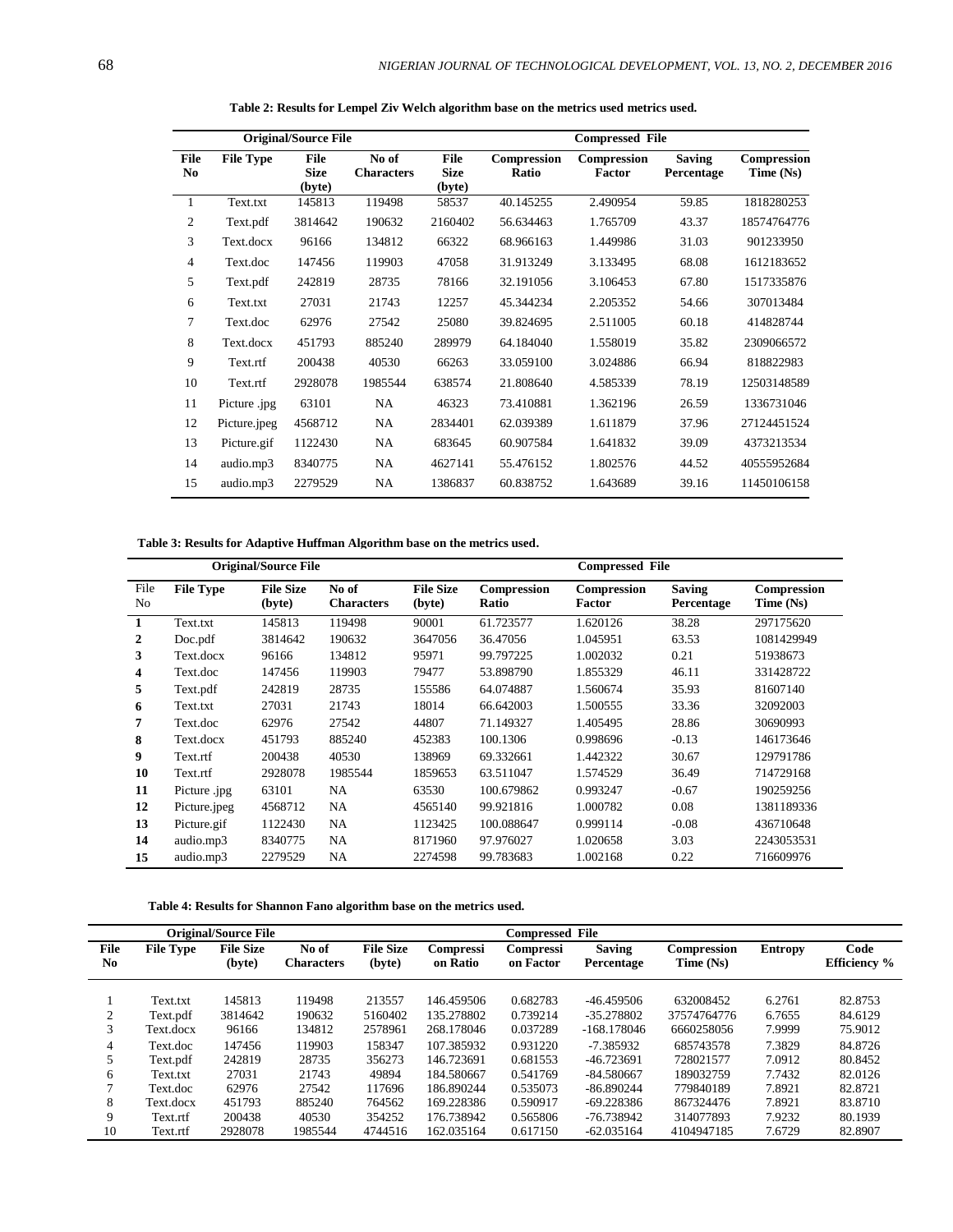|                        | <b>Original/Source File</b> |                               |                            |                               |                      | <b>Compressed File</b>              |                             |                         |
|------------------------|-----------------------------|-------------------------------|----------------------------|-------------------------------|----------------------|-------------------------------------|-----------------------------|-------------------------|
| File<br>N <sub>0</sub> | <b>File Type</b>            | File<br><b>Size</b><br>(byte) | No of<br><b>Characters</b> | File<br><b>Size</b><br>(byte) | Compression<br>Ratio | <b>Compression</b><br><b>Factor</b> | <b>Saving</b><br>Percentage | Compression<br>Time(Ns) |
| 1                      | Text.txt                    | 145813                        | 119498                     | 58537                         | 40.145255            | 2.490954                            | 59.85                       | 1818280253              |
| $\overline{c}$         | Text.pdf                    | 3814642                       | 190632                     | 2160402                       | 56.634463            | 1.765709                            | 43.37                       | 18574764776             |
| 3                      | Text.docx                   | 96166                         | 134812                     | 66322                         | 68.966163            | 1.449986                            | 31.03                       | 901233950               |
| $\overline{4}$         | Text.doc                    | 147456                        | 119903                     | 47058                         | 31.913249            | 3.133495                            | 68.08                       | 1612183652              |
| 5                      | Text.pdf                    | 242819                        | 28735                      | 78166                         | 32.191056            | 3.106453                            | 67.80                       | 1517335876              |
| 6                      | Text.txt                    | 27031                         | 21743                      | 12257                         | 45.344234            | 2.205352                            | 54.66                       | 307013484               |
| 7                      | Text.doc                    | 62976                         | 27542                      | 25080                         | 39.824695            | 2.511005                            | 60.18                       | 414828744               |
| 8                      | Text.docx                   | 451793                        | 885240                     | 289979                        | 64.184040            | 1.558019                            | 35.82                       | 2309066572              |
| 9                      | Text.rtf                    | 200438                        | 40530                      | 66263                         | 33.059100            | 3.024886                            | 66.94                       | 818822983               |
| 10                     | Text.rtf                    | 2928078                       | 1985544                    | 638574                        | 21.808640            | 4.585339                            | 78.19                       | 12503148589             |
| 11                     | Picture .jpg                | 63101                         | <b>NA</b>                  | 46323                         | 73.410881            | 1.362196                            | 26.59                       | 1336731046              |
| 12                     | Picture.jpeg                | 4568712                       | <b>NA</b>                  | 2834401                       | 62.039389            | 1.611879                            | 37.96                       | 27124451524             |
| 13                     | Picture.gif                 | 1122430                       | <b>NA</b>                  | 683645                        | 60.907584            | 1.641832                            | 39.09                       | 4373213534              |
| 14                     | audio.mp3                   | 8340775                       | NA.                        | 4627141                       | 55.476152            | 1.802576                            | 44.52                       | 40555952684             |
| 15                     | audio.mp3                   | 2279529                       | <b>NA</b>                  | 1386837                       | 60.838752            | 1.643689                            | 39.16                       | 11450106158             |

**Table 2: Results for Lempel Ziv Welch algorithm base on the metrics used metrics used.**

**Table 3: Results for Adaptive Huffman Algorithm base on the metrics used.**

|                        | <b>Original/Source File</b> |                            |                            |                            |                             |                              | <b>Compressed File</b>      |                          |
|------------------------|-----------------------------|----------------------------|----------------------------|----------------------------|-----------------------------|------------------------------|-----------------------------|--------------------------|
| File<br>N <sub>0</sub> | <b>File Type</b>            | <b>File Size</b><br>(byte) | No of<br><b>Characters</b> | <b>File Size</b><br>(byte) | <b>Compression</b><br>Ratio | <b>Compression</b><br>Factor | <b>Saving</b><br>Percentage | Compression<br>Time (Ns) |
| 1                      | Text.txt                    | 145813                     | 119498                     | 90001                      | 61.723577                   | 1.620126                     | 38.28                       | 297175620                |
| 2                      | Doc.pdf                     | 3814642                    | 190632                     | 3647056                    | 36.47056                    | 1.045951                     | 63.53                       | 1081429949               |
| 3                      | Text.docx                   | 96166                      | 134812                     | 95971                      | 99.797225                   | 1.002032                     | 0.21                        | 51938673                 |
| 4                      | Text.doc                    | 147456                     | 119903                     | 79477                      | 53.898790                   | 1.855329                     | 46.11                       | 331428722                |
| 5                      | Text.pdf                    | 242819                     | 28735                      | 155586                     | 64.074887                   | 1.560674                     | 35.93                       | 81607140                 |
| 6                      | Text.txt                    | 27031                      | 21743                      | 18014                      | 66.642003                   | 1.500555                     | 33.36                       | 32092003                 |
| 7                      | Text.doc                    | 62976                      | 27542                      | 44807                      | 71.149327                   | 1.405495                     | 28.86                       | 30690993                 |
| 8                      | Text.docx                   | 451793                     | 885240                     | 452383                     | 100.1306                    | 0.998696                     | $-0.13$                     | 146173646                |
| 9                      | Text.rtf                    | 200438                     | 40530                      | 138969                     | 69.332661                   | 1.442322                     | 30.67                       | 129791786                |
| 10                     | Text.rtf                    | 2928078                    | 1985544                    | 1859653                    | 63.511047                   | 1.574529                     | 36.49                       | 714729168                |
| 11                     | Picture .jpg                | 63101                      | <b>NA</b>                  | 63530                      | 100.679862                  | 0.993247                     | $-0.67$                     | 190259256                |
| 12                     | Picture.jpeg                | 4568712                    | <b>NA</b>                  | 4565140                    | 99.921816                   | 1.000782                     | 0.08                        | 1381189336               |
| 13                     | Picture.gif                 | 1122430                    | <b>NA</b>                  | 1123425                    | 100.088647                  | 0.999114                     | $-0.08$                     | 436710648                |
| 14                     | audio.mp3                   | 8340775                    | <b>NA</b>                  | 8171960                    | 97.976027                   | 1.020658                     | 3.03                        | 2243053531               |
| 15                     | audio.mp3                   | 2279529                    | NA                         | 2274598                    | 99.783683                   | 1.002168                     | 0.22                        | 716609976                |

**Table 4: Results for Shannon Fano algorithm base on the metrics used.**

| <b>Original/Source File</b> |                  |                            |                            |                            |                              | <b>Compressed File</b> |                                    |                                 |                |                             |
|-----------------------------|------------------|----------------------------|----------------------------|----------------------------|------------------------------|------------------------|------------------------------------|---------------------------------|----------------|-----------------------------|
| File<br>No                  | <b>File Type</b> | <b>File Size</b><br>(byte) | No of<br><b>Characters</b> | <b>File Size</b><br>(byte) | <b>Compressi</b><br>on Ratio | Compressi<br>on Factor | <b>Saving</b><br><b>Percentage</b> | <b>Compression</b><br>Time (Ns) | <b>Entropy</b> | Code<br><b>Efficiency</b> % |
|                             | Text.txt         | 145813                     | 119498                     | 213557                     | 146.459506                   | 0.682783               | $-46.459506$                       | 632008452                       | 6.2761         | 82.8753                     |
| 2                           | Text.pdf         | 3814642                    | 190632                     | 5160402                    | 135.278802                   | 0.739214               | $-35.278802$                       | 37574764776                     | 6.7655         | 84.6129                     |
| 3                           | Text.docx        | 96166                      | 134812                     | 2578961                    | 268.178046                   | 0.037289               | $-168.178046$                      | 6660258056                      | 7.9999         | 75.9012                     |
| 4                           | Text.doc         | 147456                     | 119903                     | 158347                     | 107.385932                   | 0.931220               | $-7.385932$                        | 685743578                       | 7.3829         | 84.8726                     |
|                             | Text.pdf         | 242819                     | 28735                      | 356273                     | 146.723691                   | 0.681553               | -46.723691                         | 728021577                       | 7.0912         | 80.8452                     |
| 6                           | Text.txt         | 27031                      | 21743                      | 49894                      | 184.580667                   | 0.541769               | $-84.580667$                       | 189032759                       | 7.7432         | 82.0126                     |
|                             | Text.doc         | 62976                      | 27542                      | 117696                     | 186.890244                   | 0.535073               | $-86.890244$                       | 779840189                       | 7.8921         | 82.8721                     |
| 8                           | Text.docx        | 451793                     | 885240                     | 764562                     | 169.228386                   | 0.590917               | $-69.228386$                       | 867324476                       | 7.8921         | 83.8710                     |
| 9                           | Text.rtf         | 200438                     | 40530                      | 354252                     | 176.738942                   | 0.565806               | -76.738942                         | 314077893                       | 7.9232         | 80.1939                     |
| 10                          | Text.rtf         | 2928078                    | 1985544                    | 4744516                    | 162.035164                   | 0.617150               | $-62.035164$                       | 4104947185                      | 7.6729         | 82.8907                     |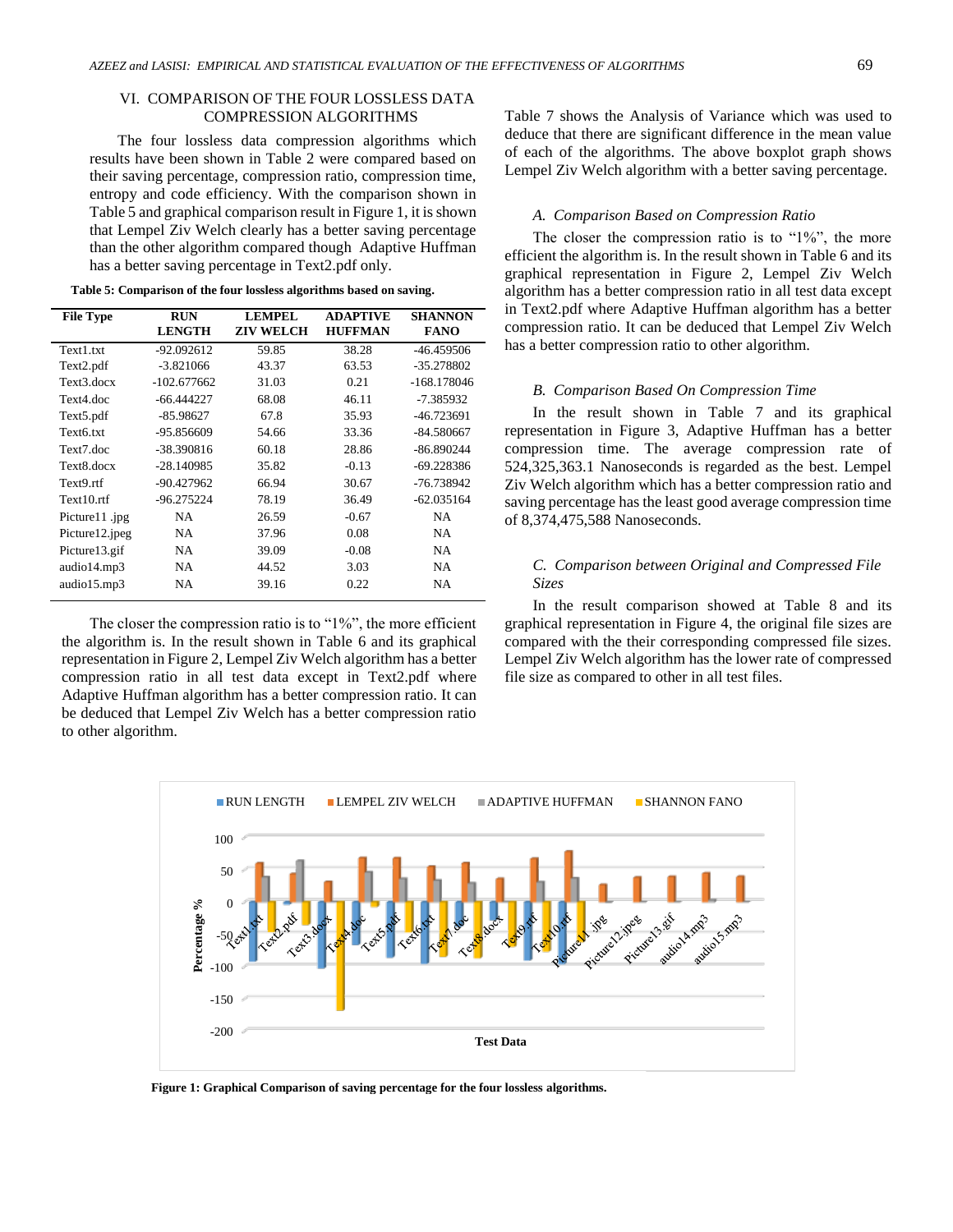#### VI. COMPARISON OF THE FOUR LOSSLESS DATA COMPRESSION ALGORITHMS

The four lossless data compression algorithms which results have been shown in Table 2 were compared based on their saving percentage, compression ratio, compression time, entropy and code efficiency. With the comparison shown in Table 5 and graphical comparison result in Figure 1, it is shown that Lempel Ziv Welch clearly has a better saving percentage than the other algorithm compared though Adaptive Huffman has a better saving percentage in Text2.pdf only.

**Table 5: Comparison of the four lossless algorithms based on saving.**

| <b>File Type</b> | <b>RUN</b><br><b>LENGTH</b> | <b>LEMPEL</b><br><b>ZIV WELCH</b> | <b>ADAPTIVE</b><br><b>HUFFMAN</b> | <b>SHANNON</b><br><b>FANO</b> |
|------------------|-----------------------------|-----------------------------------|-----------------------------------|-------------------------------|
| Text1.txt        | $-92.092612$                | 59.85                             | 38.28                             | $-46.459506$                  |
| Text2.pdf        | $-3.821066$                 | 43.37                             | 63.53                             | $-35.278802$                  |
| Text3.docx       | $-102.677662$               | 31.03                             | 0.21                              | $-168.178046$                 |
| Text4.doc        | $-66.444227$                | 68.08                             | 46.11                             | -7.385932                     |
| Text5.pdf        | -85.98627                   | 67.8                              | 35.93                             | -46.723691                    |
| Text6.txt        | -95.856609                  | 54.66                             | 33.36                             | $-84.580667$                  |
| Text7.doc        | -38.390816                  | 60.18                             | 28.86                             | -86.890244                    |
| Text8.docx       | $-28.140985$                | 35.82                             | $-0.13$                           | $-69.228386$                  |
| Text9.rtf        | $-90.427962$                | 66.94                             | 30.67                             | $-76.738942$                  |
| Text10.rtf       | $-96.275224$                | 78.19                             | 36.49                             | $-62.035164$                  |
| Picture11.jpg    | <b>NA</b>                   | 26.59                             | $-0.67$                           | NA                            |
| Picture 12.jpeg  | <b>NA</b>                   | 37.96                             | 0.08                              | <b>NA</b>                     |
| Picture 13.gif   | <b>NA</b>                   | 39.09                             | $-0.08$                           | NA.                           |
| audio14.mp3      | <b>NA</b>                   | 44.52                             | 3.03                              | <b>NA</b>                     |
| audio15.mp3      | NA                          | 39.16                             | 0.22                              | NA                            |

The closer the compression ratio is to "1%", the more efficient the algorithm is. In the result shown in Table 6 and its graphical representation in Figure 2, Lempel Ziv Welch algorithm has a better compression ratio in all test data except in Text2.pdf where Adaptive Huffman algorithm has a better compression ratio. It can be deduced that Lempel Ziv Welch has a better compression ratio to other algorithm.

Table 7 shows the Analysis of Variance which was used to deduce that there are significant difference in the mean value of each of the algorithms. The above boxplot graph shows Lempel Ziv Welch algorithm with a better saving percentage.

#### *A. Comparison Based on Compression Ratio*

The closer the compression ratio is to "1%", the more efficient the algorithm is. In the result shown in Table 6 and its graphical representation in Figure 2, Lempel Ziv Welch algorithm has a better compression ratio in all test data except in Text2.pdf where Adaptive Huffman algorithm has a better compression ratio. It can be deduced that Lempel Ziv Welch has a better compression ratio to other algorithm.

## *B. Comparison Based On Compression Time*

In the result shown in Table 7 and its graphical representation in Figure 3, Adaptive Huffman has a better compression time. The average compression rate of 524,325,363.1 Nanoseconds is regarded as the best. Lempel Ziv Welch algorithm which has a better compression ratio and saving percentage has the least good average compression time of 8,374,475,588 Nanoseconds.

# *C. Comparison between Original and Compressed File Sizes*

In the result comparison showed at Table 8 and its graphical representation in Figure 4, the original file sizes are compared with the their corresponding compressed file sizes. Lempel Ziv Welch algorithm has the lower rate of compressed file size as compared to other in all test files.



**Figure 1: Graphical Comparison of saving percentage for the four lossless algorithms.**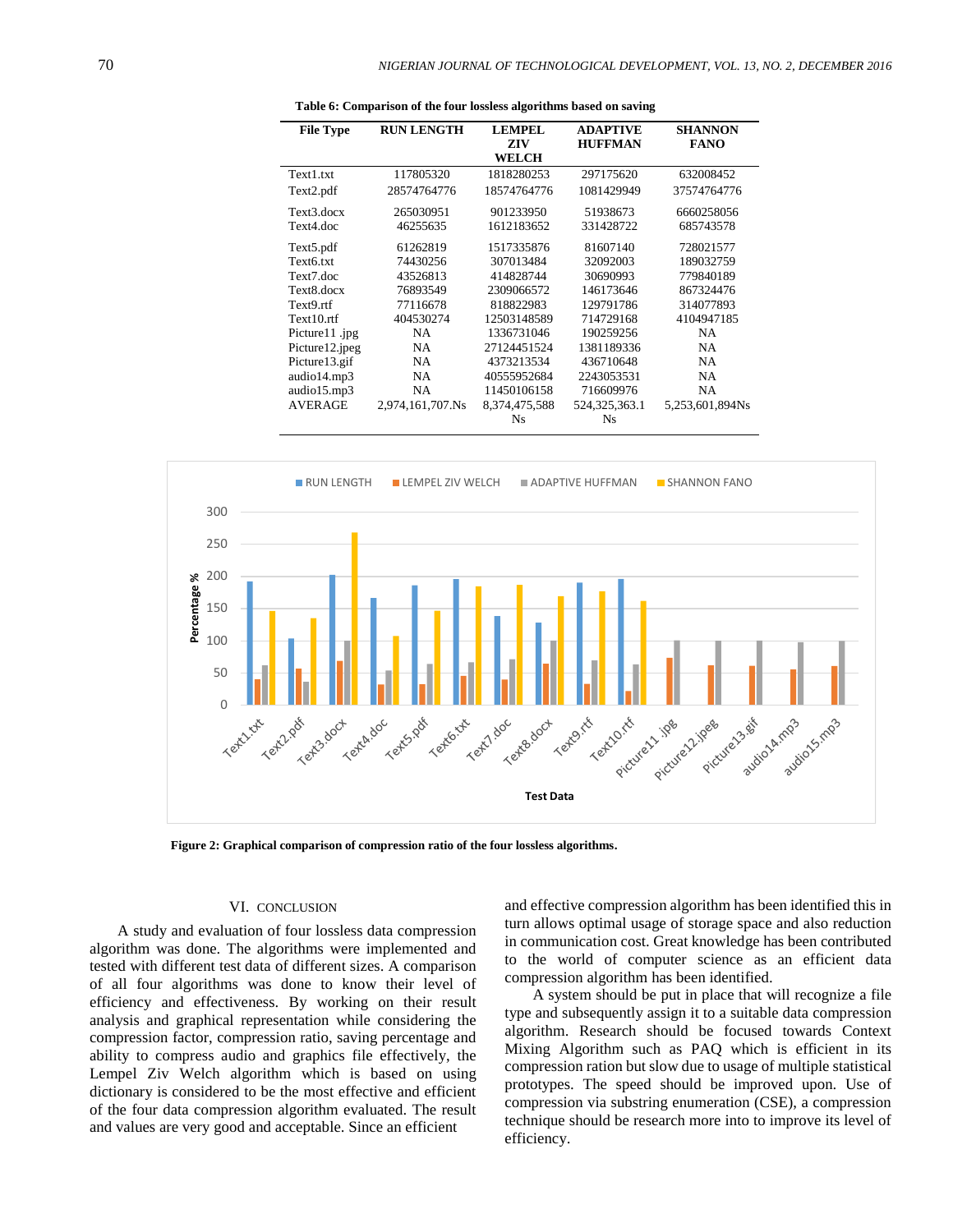| <b>File Type</b>      | <b>RUN LENGTH</b> | <b>LEMPEL</b><br><b>ZIV</b> | <b>ADAPTIVE</b><br><b>HUFFMAN</b> | <b>SHANNON</b><br><b>FANO</b> |
|-----------------------|-------------------|-----------------------------|-----------------------------------|-------------------------------|
|                       |                   | WELCH                       |                                   |                               |
| Text1.txt             | 117805320         | 1818280253                  | 297175620                         | 632008452                     |
| Text2.pdf             | 28574764776       | 18574764776                 | 1081429949                        | 37574764776                   |
| Text3.docx            | 265030951         | 901233950                   | 51938673                          | 6660258056                    |
| Text4.doc             | 46255635          | 1612183652                  | 331428722                         | 685743578                     |
| Text5.pdf             | 61262819          | 1517335876                  | 81607140                          | 728021577                     |
| Text <sub>6.txt</sub> | 74430256          | 307013484                   | 32092003                          | 189032759                     |
| Text7.doc             | 43526813          | 414828744                   | 30690993                          | 779840189                     |
| Text8.docx            | 76893549          | 2309066572                  | 146173646                         | 867324476                     |
| Text9.rtf             | 77116678          | 818822983                   | 129791786                         | 314077893                     |
| Text10.rtf            | 404530274         | 12503148589                 | 714729168                         | 4104947185                    |
| Picture11 .jpg        | <b>NA</b>         | 1336731046                  | 190259256                         | <b>NA</b>                     |
| Picture 12.jpeg       | <b>NA</b>         | 27124451524                 | 1381189336                        | <b>NA</b>                     |
| Picture 13.gif        | NA                | 4373213534                  | 436710648                         | <b>NA</b>                     |
| audio14.mp3           | NA                | 40555952684                 | 2243053531                        | <b>NA</b>                     |
| audio15.mp3           | NA                | 11450106158                 | 716609976                         | NA                            |
| <b>AVERAGE</b>        | 2,974,161,707.Ns  | 8,374,475,588               | 524, 325, 363.1                   | 5,253,601,894Ns               |
|                       |                   | <b>Ns</b>                   | <b>Ns</b>                         |                               |

**Table 6: Comparison of the four lossless algorithms based on saving** 



**Figure 2: Graphical comparison of compression ratio of the four lossless algorithms.**

# VI. CONCLUSION

A study and evaluation of four lossless data compression algorithm was done. The algorithms were implemented and tested with different test data of different sizes. A comparison of all four algorithms was done to know their level of efficiency and effectiveness. By working on their result analysis and graphical representation while considering the compression factor, compression ratio, saving percentage and ability to compress audio and graphics file effectively, the Lempel Ziv Welch algorithm which is based on using dictionary is considered to be the most effective and efficient of the four data compression algorithm evaluated. The result and values are very good and acceptable. Since an efficient

and effective compression algorithm has been identified this in turn allows optimal usage of storage space and also reduction in communication cost. Great knowledge has been contributed to the world of computer science as an efficient data compression algorithm has been identified.

A system should be put in place that will recognize a file type and subsequently assign it to a suitable data compression algorithm. Research should be focused towards Context Mixing Algorithm such as PAQ which is efficient in its compression ration but slow due to usage of multiple statistical prototypes. The speed should be improved upon. Use of compression via substring enumeration (CSE), a compression technique should be research more into to improve its level of efficiency.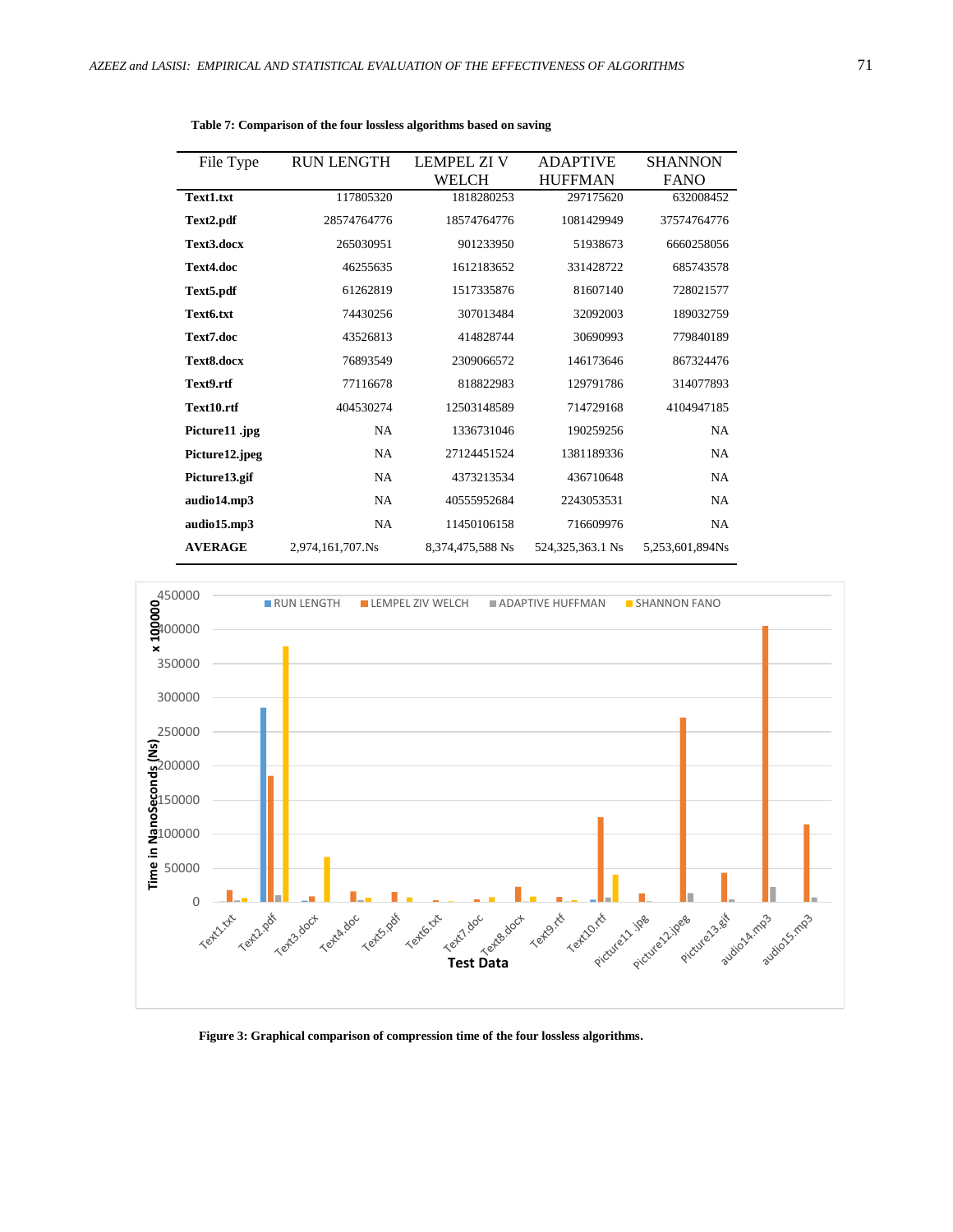| File Type      | <b>RUN LENGTH</b> | <b>LEMPEL ZI V</b><br><b>WELCH</b> | <b>ADAPTIVE</b><br><b>HUFFMAN</b> | <b>SHANNON</b><br><b>FANO</b> |
|----------------|-------------------|------------------------------------|-----------------------------------|-------------------------------|
| Text1.txt      | 117805320         | 1818280253                         | 297175620                         | 632008452                     |
| Text2.pdf      | 28574764776       | 18574764776                        | 1081429949                        | 37574764776                   |
| Text3.docx     | 265030951         | 901233950                          | 51938673                          | 6660258056                    |
| Text4.doc      | 46255635          | 1612183652                         | 331428722                         | 685743578                     |
| Text5.pdf      | 61262819          | 1517335876                         | 81607140                          | 728021577                     |
| Text6.txt      | 74430256          | 307013484                          | 32092003                          | 189032759                     |
| Text7.doc      | 43526813          | 414828744                          | 30690993                          | 779840189                     |
| Text8.docx     | 76893549          | 2309066572                         | 146173646                         | 867324476                     |
| Text9.rtf      | 77116678          | 818822983                          | 129791786                         | 314077893                     |
| Text10.rtf     | 404530274         | 12503148589                        | 714729168                         | 4104947185                    |
| Picture11 .jpg | NA                | 1336731046                         | 190259256                         | NA                            |
| Picture12.jpeg | <b>NA</b>         | 27124451524                        | 1381189336                        | <b>NA</b>                     |
| Picture13.gif  | NA                | 4373213534                         | 436710648                         | NA                            |
| audio14.mp3    | NA                | 40555952684                        | 2243053531                        | NA                            |
| audio15.mp3    | NA                | 11450106158                        | 716609976                         | NA                            |
| <b>AVERAGE</b> | 2.974.161.707.Ns  | 8,374,475,588 Ns                   | 524.325.363.1 Ns                  | 5.253.601.894Ns               |

**Table 7: Comparison of the four lossless algorithms based on saving** 



**Figure 3: Graphical comparison of compression time of the four lossless algorithms.**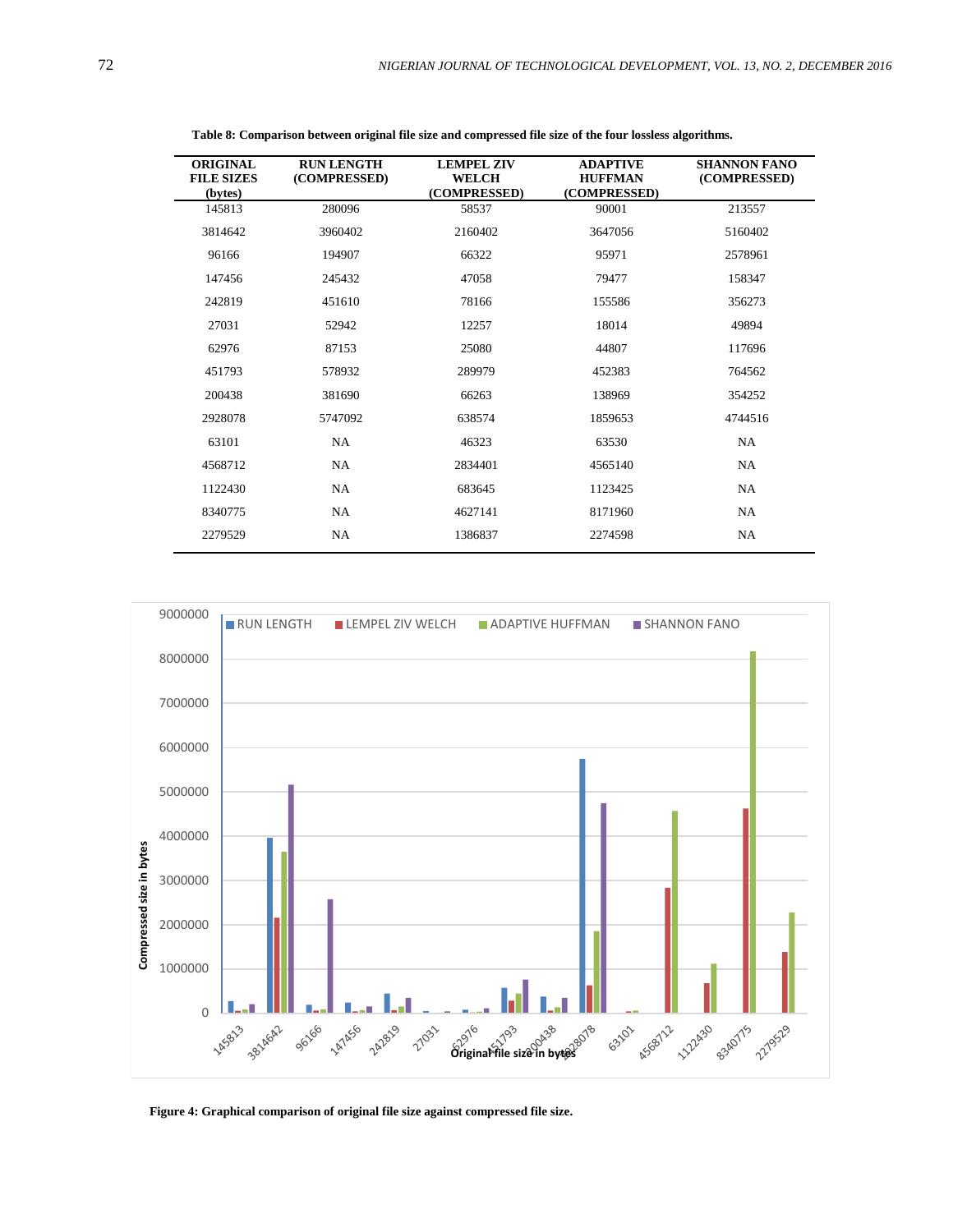| <b>ORIGINAL</b><br><b>FILE SIZES</b><br>(bytes) | <b>RUN LENGTH</b><br>(COMPRESSED) | <b>LEMPEL ZIV</b><br><b>WELCH</b><br>(COMPRESSED) | <b>ADAPTIVE</b><br><b>HUFFMAN</b><br>(COMPRESSED) | <b>SHANNON FANO</b><br>(COMPRESSED) |
|-------------------------------------------------|-----------------------------------|---------------------------------------------------|---------------------------------------------------|-------------------------------------|
| 145813                                          | 280096                            | 58537                                             | 90001                                             | 213557                              |
| 3814642                                         | 3960402                           | 2160402                                           | 3647056                                           | 5160402                             |
| 96166                                           | 194907                            | 66322                                             | 95971                                             | 2578961                             |
| 147456                                          | 245432                            | 47058                                             | 79477                                             | 158347                              |
| 242819                                          | 451610                            | 78166                                             | 155586                                            | 356273                              |
| 27031                                           | 52942                             | 12257                                             | 18014                                             | 49894                               |
| 62976                                           | 87153                             | 25080                                             | 44807                                             | 117696                              |
| 451793                                          | 578932                            | 289979                                            | 452383                                            | 764562                              |
| 200438                                          | 381690                            | 66263                                             | 138969                                            | 354252                              |
| 2928078                                         | 5747092                           | 638574                                            | 1859653                                           | 4744516                             |
| 63101                                           | NA                                | 46323                                             | 63530                                             | NA                                  |
| 4568712                                         | NA                                | 2834401                                           | 4565140                                           | <b>NA</b>                           |
| 1122430                                         | <b>NA</b>                         | 683645                                            | 1123425                                           | NA                                  |
| 8340775                                         | NA                                | 4627141                                           | 8171960                                           | NA                                  |
| 2279529                                         | NA                                | 1386837                                           | 2274598                                           | NA                                  |
|                                                 |                                   |                                                   |                                                   |                                     |

**Table 8: Comparison between original file size and compressed file size of the four lossless algorithms.**



**Figure 4: Graphical comparison of original file size against compressed file size.**